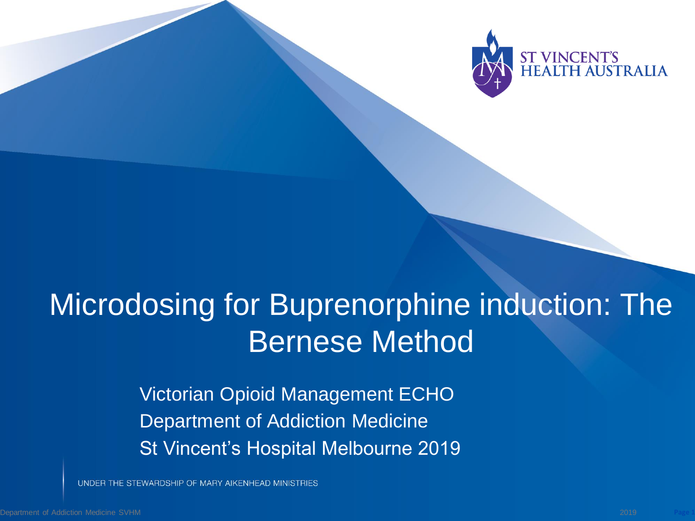

# Microdosing for Buprenorphine induction: The Bernese Method

Victorian Opioid Management ECHO Department of Addiction Medicine St Vincent's Hospital Melbourne 2019

UNDER THE STEWARDSHIP OF MARY AIKENHEAD MINISTRIES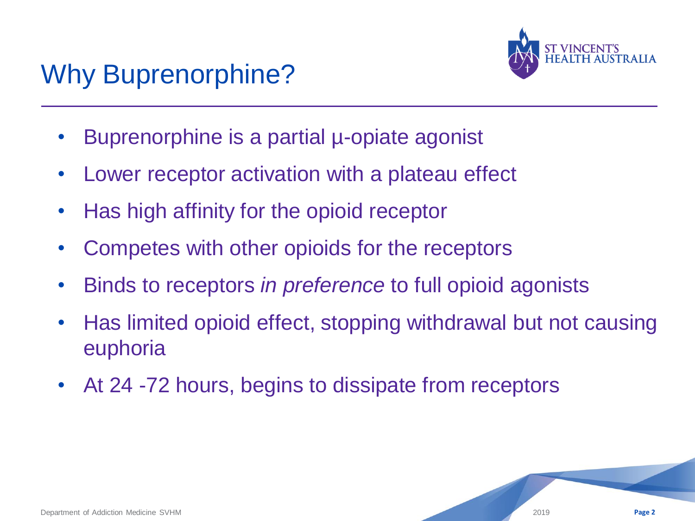## Why Buprenorphine?



- Buprenorphine is a partial µ-opiate agonist
- Lower receptor activation with a plateau effect
- Has high affinity for the opioid receptor
- Competes with other opioids for the receptors
- Binds to receptors *in preference* to full opioid agonists
- Has limited opioid effect, stopping withdrawal but not causing euphoria
- At 24 -72 hours, begins to dissipate from receptors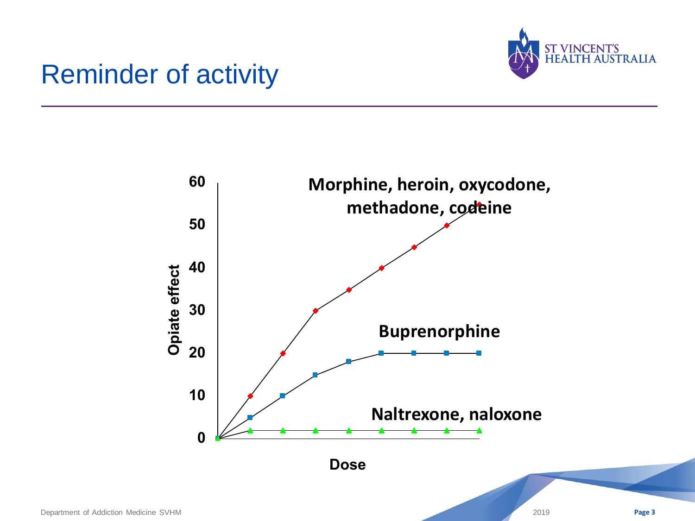

#### Reminder of activity

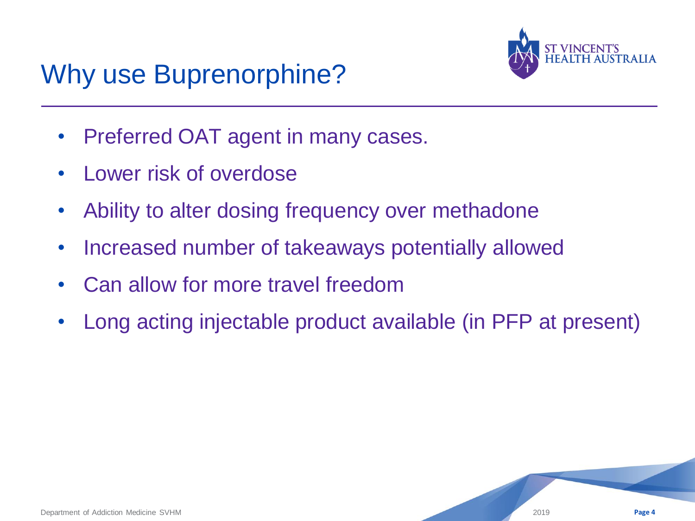

#### Why use Buprenorphine?

- Preferred OAT agent in many cases.
- Lower risk of overdose
- Ability to alter dosing frequency over methadone
- Increased number of takeaways potentially allowed
- Can allow for more travel freedom
- Long acting injectable product available (in PFP at present)

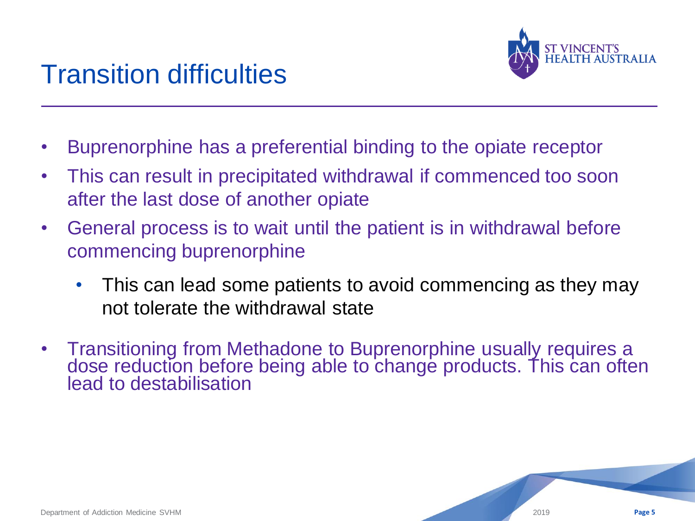



- Buprenorphine has a preferential binding to the opiate receptor
- This can result in precipitated withdrawal if commenced too soon after the last dose of another opiate
- General process is to wait until the patient is in withdrawal before commencing buprenorphine
	- This can lead some patients to avoid commencing as they may not tolerate the withdrawal state
- Transitioning from Methadone to Buprenorphine usually requires a dose reduction before being able to change products. This can often lead to destabilisation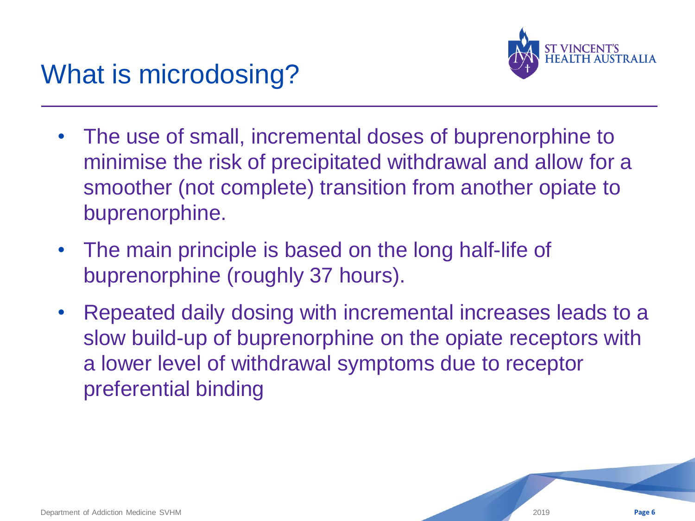

## What is microdosing?

- The use of small, incremental doses of buprenorphine to minimise the risk of precipitated withdrawal and allow for a smoother (not complete) transition from another opiate to buprenorphine.
- The main principle is based on the long half-life of buprenorphine (roughly 37 hours).
- Repeated daily dosing with incremental increases leads to a slow build-up of buprenorphine on the opiate receptors with a lower level of withdrawal symptoms due to receptor preferential binding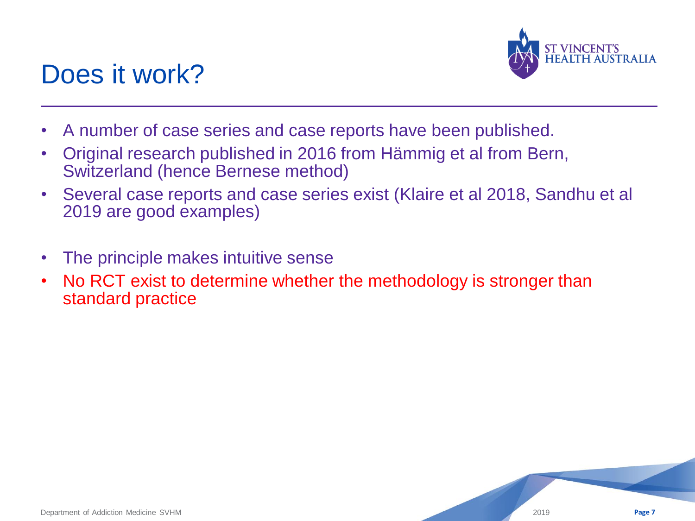

#### Does it work?

- A number of case series and case reports have been published.
- Original research published in 2016 from Hämmig et al from Bern, Switzerland (hence Bernese method)
- Several case reports and case series exist (Klaire et al 2018, Sandhu et al 2019 are good examples)
- The principle makes intuitive sense
- No RCT exist to determine whether the methodology is stronger than standard practice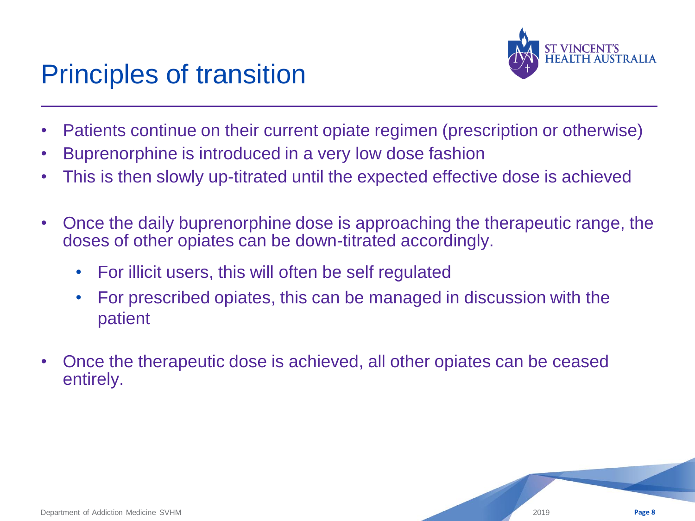#### Principles of transition



- Patients continue on their current opiate regimen (prescription or otherwise)
- Buprenorphine is introduced in a very low dose fashion
- This is then slowly up-titrated until the expected effective dose is achieved
- Once the daily buprenorphine dose is approaching the therapeutic range, the doses of other opiates can be down-titrated accordingly.
	- For illicit users, this will often be self regulated
	- For prescribed opiates, this can be managed in discussion with the patient
- Once the therapeutic dose is achieved, all other opiates can be ceased entirely.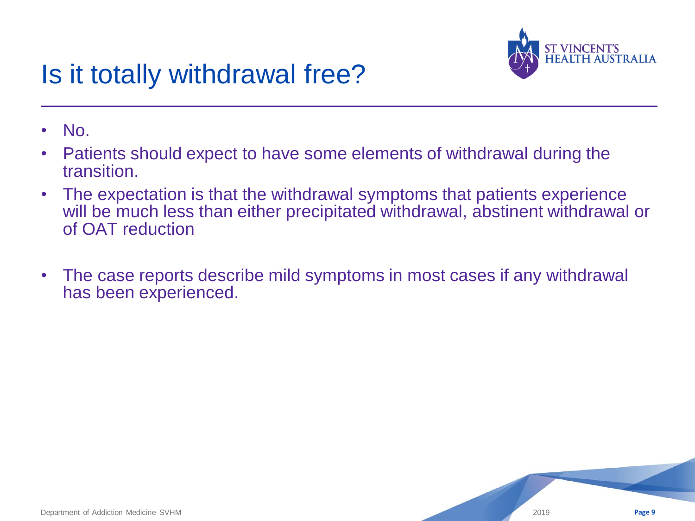

## Is it totally withdrawal free?

- No.
- Patients should expect to have some elements of withdrawal during the transition.
- The expectation is that the withdrawal symptoms that patients experience will be much less than either precipitated withdrawal, abstinent withdrawal or of OAT reduction
- The case reports describe mild symptoms in most cases if any withdrawal has been experienced.

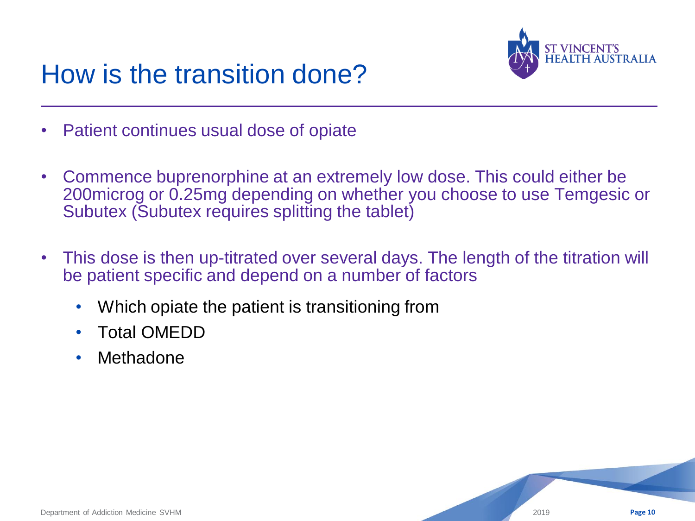

## How is the transition done?

- Patient continues usual dose of opiate
- Commence buprenorphine at an extremely low dose. This could either be 200microg or 0.25mg depending on whether you choose to use Temgesic or Subutex (Subutex requires splitting the tablet)
- This dose is then up-titrated over several days. The length of the titration will be patient specific and depend on a number of factors
	- Which opiate the patient is transitioning from
	- Total OMEDD
	- Methadone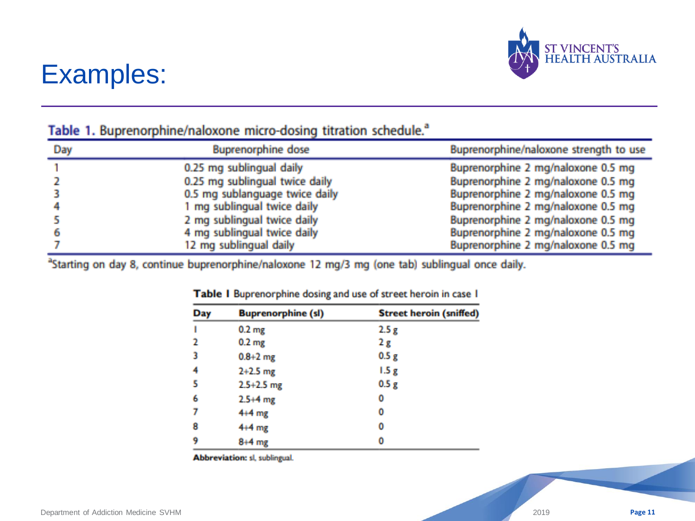

#### Examples:

| Day | <b>Buprenorphine dose</b>      | Buprenorphine/naloxone strength to use |
|-----|--------------------------------|----------------------------------------|
|     | 0.25 mg sublingual daily       | Buprenorphine 2 mg/naloxone 0.5 mg     |
|     | 0.25 mg sublingual twice daily | Buprenorphine 2 mg/naloxone 0.5 mg     |
|     | 0.5 mg sublanguage twice daily | Buprenorphine 2 mg/naloxone 0.5 mg     |
|     | 1 mg sublingual twice daily    | Buprenorphine 2 mg/naloxone 0.5 mg     |
|     | 2 mg sublingual twice daily    | Buprenorphine 2 mg/naloxone 0.5 mg     |
|     | 4 mg sublingual twice daily    | Buprenorphine 2 mg/naloxone 0.5 mg     |
|     | 12 mg sublingual daily         | Buprenorphine 2 mg/naloxone 0.5 mg     |

#### Table 1. Buprenorphine/naloxone micro-dosing titration schedule.<sup>a</sup>

<sup>a</sup>Starting on day 8, continue buprenorphine/naloxone 12 mg/3 mg (one tab) sublingual once daily.

| Day | <b>Buprenorphine (sl)</b> | <b>Street heroin (sniffed)</b> |
|-----|---------------------------|--------------------------------|
| ٠   | 0.2 <sub>mg</sub>         | 2.5 <sub>g</sub>               |
| 2   | 0.2 <sub>mg</sub>         | 2g                             |
| 3   | $0.8 + 2$ mg              | 0.5g                           |
| 4   | $2+2.5$ mg                | 1.5g                           |
| 5   | $2.5 + 2.5$ mg            | 0.5g                           |
| 6   | $2.5 + 4$ mg              | 0                              |
| 7   | $4+4$ mg                  | 0                              |
| 8   | $4+4$ mg                  | 0                              |
| 9   | $8+4$ mg                  | 0                              |

#### Table I Buprenorphine dosing and use of street heroin in case I

Abbreviation: sl, sublingual.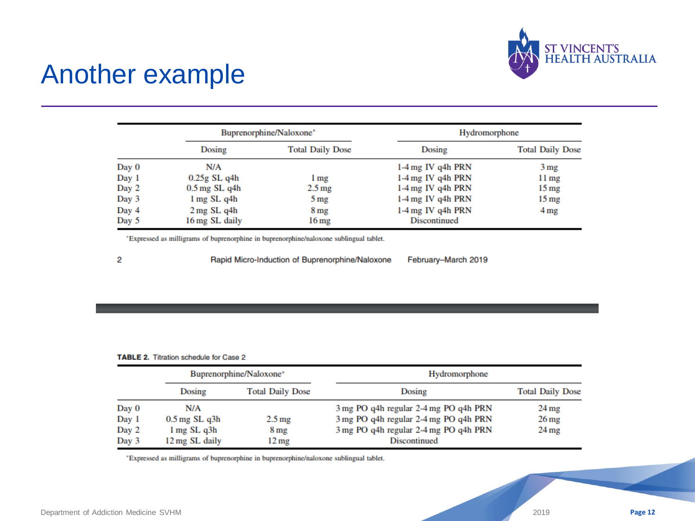

#### Another example

|       | Buprenorphine/Naloxone* |                         | Hydromorphone       |                         |  |
|-------|-------------------------|-------------------------|---------------------|-------------------------|--|
|       | Dosing                  | <b>Total Daily Dose</b> | Dosing              | <b>Total Daily Dose</b> |  |
| Day 0 | N/A                     |                         | $1-4$ mg IV q4h PRN | 3 <sub>mg</sub>         |  |
| Day 1 | $0.25g$ SL q4h          | 1 <sub>mg</sub>         | $1-4$ mg IV q4h PRN | 11 <sub>mg</sub>        |  |
| Day 2 | $0.5$ mg SL q4h         | 2.5 <sub>mg</sub>       | $1-4$ mg IV q4h PRN | $15 \,\mathrm{mg}$      |  |
| Day 3 | $1 \text{ mg}$ SL q4h   | 5 <sub>mg</sub>         | 1-4 mg IV q4h PRN   | $15 \,\mathrm{mg}$      |  |
| Day 4 | $2$ mg SL q4h           | 8 mg                    | 1-4 mg IV q4h PRN   | 4 mg                    |  |
| Day 5 | 16 mg SL daily          | 16 mg                   | <b>Discontinued</b> |                         |  |

\*Expressed as milligrams of buprenorphine in buprenorphine/naloxone sublingual tablet.

2

Rapid Micro-Induction of Buprenorphine/Naloxone

February-March 2019

#### TABLE 2. Titration schedule for Case 2

|       | Buprenorphine/Naloxone* |                         | Hydromorphone                         |                         |  |  |
|-------|-------------------------|-------------------------|---------------------------------------|-------------------------|--|--|
|       | Dosing                  | <b>Total Daily Dose</b> | Dosing                                | <b>Total Daily Dose</b> |  |  |
| Day 0 | N/A                     |                         | 3 mg PO q4h regular 2-4 mg PO q4h PRN | 24 <sub>mg</sub>        |  |  |
| Day 1 | $0.5$ mg SL q $3h$      | 2.5 <sub>mg</sub>       | 3 mg PO q4h regular 2-4 mg PO q4h PRN | $26 \,\mathrm{mg}$      |  |  |
| Day 2 | $1 \text{ mg}$ SL $q3h$ | 8 mg                    | 3 mg PO q4h regular 2-4 mg PO q4h PRN | $24 \,\mathrm{mg}$      |  |  |
| Day 3 | 12 mg SL daily          | $12 \,\mathrm{mg}$      | Discontinued                          |                         |  |  |

\*Expressed as milligrams of buprenorphine in buprenorphine/naloxone sublingual tablet.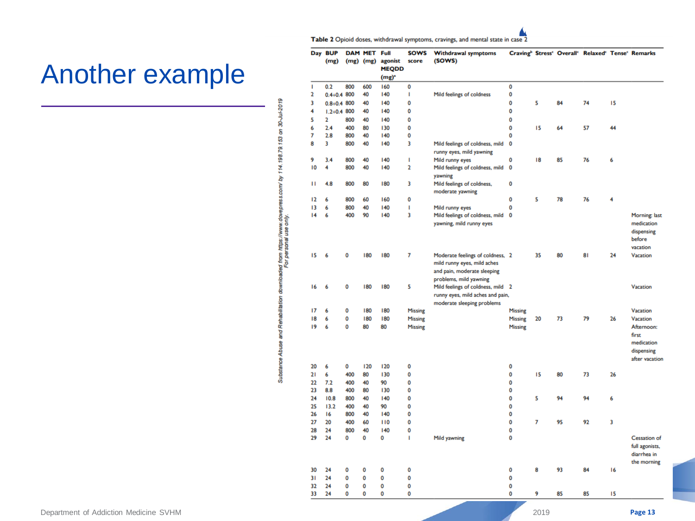Table 2 Opioid doses, withdrawal symptoms, cravings, and mental state in case 2

 $\mathbf 0$ 

 $\mathbf{L}$ 

 $\mathbf 0$ 

 $\mathbf 0$ 

 $\mathbf 0$ 

 $\mathbf 0$ 

SOWS Withdrawal symptoms

Mild feelings of coldness

(SOWS)

Day BUP DAM MET Full

 $\mathbf 0$ 

 $\mathbf 0$ 

 $\mathbf 0$ 

 $\mathbf 0$ 

 $\mathbf 0$ 

 $\mathbf 0$ 

 $\bf{0}$  $\mathbf 0$  $\mathbf 0$ 

 $\mathbf 0$  $\mathbf 0$ 

 $\bullet$  $\mathbf 0$  $\mathbf 0$ 

 $0.2$ 

 $0.4 + 0.4$  800

 $0.8 + 0.4$  800

 $1.2 + 0.4$  800

n

 $\overline{2}$ 

 $\overline{\mathbf{3}}$ 

 $\overline{2}$ 

 $2.4$ 

 $2.8$ 

 $3.4$ 

 $\overline{4}$ 

 $\mathbf{H}$ 4.8

-6

 $14<sub>6</sub>$ 

 $15<sub>6</sub>$ 

 $16<sub>6</sub>$ 

- 6

 $7.2$ 

8.8

 $10.8$ 

 $13.2$ 

 $\mathbf 0$  $\mathbf 0$  $\mathbf 0$ 

 $\mathbf 0$  $\mathbf{o}$  $\mathbf 0$ 

33 24

- 6

 $\overline{\phantom{a}}$ 

-6 

 $\overline{6}$ 

(mg) (mg) (mg) agonist score

**MEQDD**  $(mg)^2$ 

#### Another example

| $1 + 0.07 + 0.07 + 0.7 + 0.07 + 0.0$ |
|--------------------------------------|
|--------------------------------------|

| 3<br>ı<br>2      | Mild feelings of coldness, mild   |                  |        |          |          |    |                |
|------------------|-----------------------------------|------------------|--------|----------|----------|----|----------------|
|                  |                                   | 0                |        |          |          |    |                |
|                  | runny eyes, mild yawning          |                  |        |          |          |    |                |
|                  | Mild runny eyes                   | 0                | 18     | 85       | 76       | 6  |                |
|                  | Mild feelings of coldness, mild   | 0                |        |          |          |    |                |
|                  | yawning                           |                  |        |          |          |    |                |
| 3                | Mild feelings of coldness,        | 0                |        |          |          |    |                |
|                  | moderate yawning                  |                  |        |          |          |    |                |
| 0                |                                   | 0                | 5      | 78       | 76       | 4  |                |
| ı                | Mild runny eyes                   | 0                |        |          |          |    |                |
| 3                | Mild feelings of coldness, mild   | 0                |        |          |          |    | Morning: last  |
|                  | yawning, mild runny eyes          |                  |        |          |          |    | medication     |
|                  |                                   |                  |        |          |          |    | dispensing     |
|                  |                                   |                  |        |          |          |    | before         |
|                  |                                   |                  |        |          |          |    | vacation       |
| 7                | Moderate feelings of coldness, 2  |                  | 35     | 80       | 81       | 24 | Vacation       |
|                  | mild runny eyes, mild aches       |                  |        |          |          |    |                |
|                  | and pain, moderate sleeping       |                  |        |          |          |    |                |
|                  | problems, mild yawning            |                  |        |          |          |    |                |
| 5                | Mild feelings of coldness, mild 2 |                  |        |          |          |    | Vacation       |
|                  | runny eyes, mild aches and pain,  |                  |        |          |          |    |                |
|                  | moderate sleeping problems        |                  |        |          |          |    |                |
| <b>Missing</b>   |                                   | <b>Missing</b>   |        |          |          |    | Vacation       |
| Missing          |                                   | Missing          | 20     | 73       | 79       | 26 | Vacation       |
| <b>Missing</b>   |                                   | <b>Missing</b>   |        |          |          |    | Afternoon:     |
|                  |                                   |                  |        |          |          |    | first          |
|                  |                                   |                  |        |          |          |    | medication     |
|                  |                                   |                  |        |          |          |    | dispensing     |
|                  |                                   |                  |        |          |          |    | after vacation |
| 0                |                                   | 0                |        |          |          |    |                |
| 0                |                                   | 0                | 15     | 80       | 73       | 26 |                |
| 0                |                                   | 0                |        |          |          |    |                |
| 0                |                                   | 0                |        |          |          |    |                |
| 0                |                                   | 0                | 5      | 94       | 94       | 6  |                |
| 0                |                                   | 0                |        |          |          |    |                |
| 0                |                                   | 0                |        |          |          |    |                |
| 0                |                                   | Ō                | 7      | 95       | 92       | 3  |                |
| 0                |                                   | 0                |        |          |          |    |                |
| ı                | Mild yawning                      | 0                |        |          |          |    | Cessation of   |
|                  |                                   |                  |        |          |          |    | full agonists, |
|                  |                                   |                  |        |          |          |    | diarrhea in    |
|                  |                                   |                  |        |          |          |    | the morning    |
|                  |                                   |                  |        |          |          |    |                |
|                  |                                   |                  |        |          |          |    |                |
|                  |                                   |                  |        |          |          |    |                |
|                  |                                   |                  |        |          |          |    |                |
|                  |                                   |                  |        |          |          |    |                |
|                  |                                   |                  | 2019   |          |          |    | Page 13        |
|                  |                                   |                  |        |          |          |    |                |
| 0<br>0<br>0<br>0 |                                   | 0<br>0<br>0<br>0 | 8<br>9 | 93<br>85 | 84<br>85 |    | 16<br>15       |



 $\mathbf 0$ 

 $\mathbf 0$ 

 $\mathbf 0$ 

 $\pmb{0}$ 

Craving<sup>b</sup> Stress<sup>c</sup> Overall<sup>c</sup> Relaxed<sup>c</sup> Tense<sup>c</sup> Remarks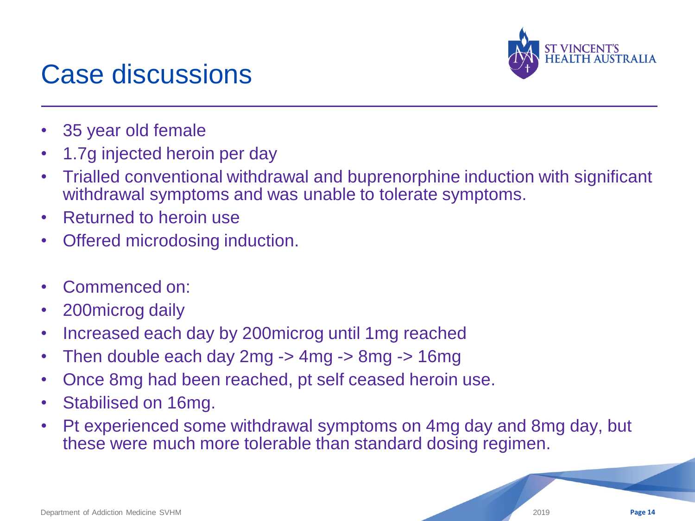

#### Case discussions

- 35 year old female
- 1.7g injected heroin per day
- Trialled conventional withdrawal and buprenorphine induction with significant withdrawal symptoms and was unable to tolerate symptoms.
- Returned to heroin use
- Offered microdosing induction.
- Commenced on:
- 200microg daily
- Increased each day by 200microg until 1mg reached
- Then double each day 2mg -> 4mg -> 8mg -> 16mg
- Once 8mg had been reached, pt self ceased heroin use.
- Stabilised on 16mg.
- Pt experienced some withdrawal symptoms on 4mg day and 8mg day, but these were much more tolerable than standard dosing regimen.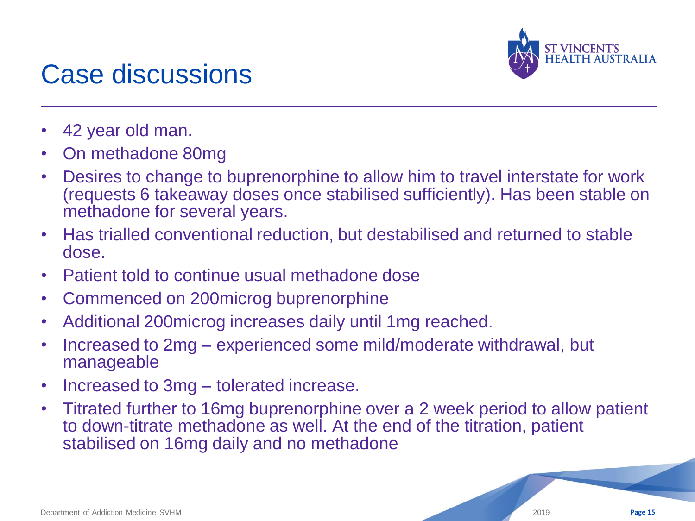

#### Case discussions

- 42 year old man.
- On methadone 80mg
- Desires to change to buprenorphine to allow him to travel interstate for work (requests 6 takeaway doses once stabilised sufficiently). Has been stable on methadone for several years.
- Has trialled conventional reduction, but destabilised and returned to stable dose.
- Patient told to continue usual methadone dose
- Commenced on 200microg buprenorphine
- Additional 200microg increases daily until 1mg reached.
- Increased to 2mg experienced some mild/moderate withdrawal, but manageable
- Increased to 3mg tolerated increase.
- Titrated further to 16mg buprenorphine over a 2 week period to allow patient to down-titrate methadone as well. At the end of the titration, patient stabilised on 16mg daily and no methadone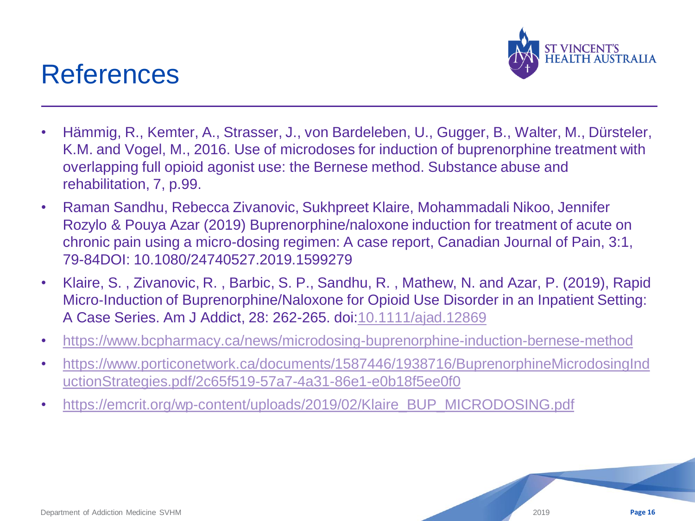#### References



- Hämmig, R., Kemter, A., Strasser, J., von Bardeleben, U., Gugger, B., Walter, M., Dürsteler, K.M. and Vogel, M., 2016. Use of microdoses for induction of buprenorphine treatment with overlapping full opioid agonist use: the Bernese method. Substance abuse and rehabilitation, 7, p.99.
- Raman Sandhu, Rebecca Zivanovic, Sukhpreet Klaire, Mohammadali Nikoo, Jennifer Rozylo & Pouya Azar (2019) Buprenorphine/naloxone induction for treatment of acute on chronic pain using a micro-dosing regimen: A case report, Canadian Journal of Pain, 3:1, 79-84DOI: 10.1080/24740527.2019.1599279
- Klaire, S. , Zivanovic, R. , Barbic, S. P., Sandhu, R. , Mathew, N. and Azar, P. (2019), Rapid Micro-Induction of Buprenorphine/Naloxone for Opioid Use Disorder in an Inpatient Setting: A Case Series. Am J Addict, 28: 262-265. doi:[10.1111/ajad.12869](https://doi.org/10.1111/ajad.12869)
- <https://www.bcpharmacy.ca/news/microdosing-buprenorphine-induction-bernese-method>
- [https://www.porticonetwork.ca/documents/1587446/1938716/BuprenorphineMicrodosingInd](https://www.porticonetwork.ca/documents/1587446/1938716/BuprenorphineMicrodosingInductionStrategies.pdf/2c65f519-57a7-4a31-86e1-e0b18f5ee0f0) [uctionStrategies.pdf/2c65f519-57a7-4a31-86e1-e0b18f5ee0f0](https://www.porticonetwork.ca/documents/1587446/1938716/BuprenorphineMicrodosingInductionStrategies.pdf/2c65f519-57a7-4a31-86e1-e0b18f5ee0f0)
- [https://emcrit.org/wp-content/uploads/2019/02/Klaire\\_BUP\\_MICRODOSING.pdf](https://emcrit.org/wp-content/uploads/2019/02/Klaire_BUP_MICRODOSING.pdf)